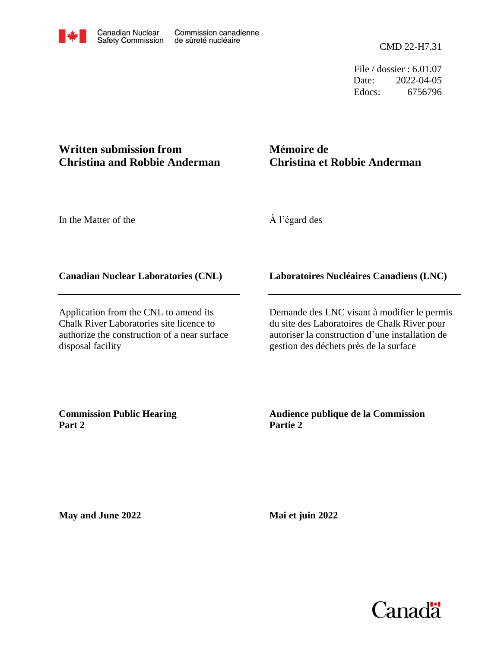Date: Edocs: 6756796 2022-04-05 File / dossier : 6.01.07

## **Written submission from Christina and Robbie Anderman**

## **Mémoire de Christina et Robbie Anderman**

In the Matter of the

À l'égard des

## **Canadian Nuclear Laboratories (CNL)**

Application from the CNL to amend its Chalk River Laboratories site licence to authorize the construction of a near surface disposal facility

## **Laboratoires Nucléaires Canadiens (LNC)**

Demande des LNC visant à modifier le permis du site des Laboratoires de Chalk River pour autoriser la construction d'une installation de gestion des déchets près de la surface

**Commission Public Hearing Part 2**

**Audience publique de la Commission Partie 2**

**May and June 2022**

**Mai et juin 2022**

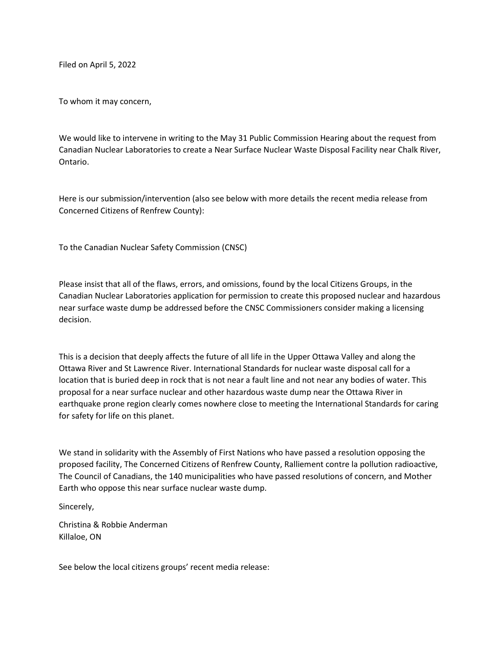Filed on April 5, 2022

To whom it may concern,

We would like to intervene in writing to the May 31 Public Commission Hearing about the request from Canadian Nuclear Laboratories to create a Near Surface Nuclear Waste Disposal Facility near Chalk River, Ontario.

Here is our submission/intervention (also see below with more details the recent media release from Concerned Citizens of Renfrew County):

To the Canadian Nuclear Safety Commission (CNSC)

Please insist that all of the flaws, errors, and omissions, found by the local Citizens Groups, in the Canadian Nuclear Laboratories application for permission to create this proposed nuclear and hazardous near surface waste dump be addressed before the CNSC Commissioners consider making a licensing decision.

This is a decision that deeply affects the future of all life in the Upper Ottawa Valley and along the Ottawa River and St Lawrence River. International Standards for nuclear waste disposal call for a location that is buried deep in rock that is not near a fault line and not near any bodies of water. This proposal for a near surface nuclear and other hazardous waste dump near the Ottawa River in earthquake prone region clearly comes nowhere close to meeting the International Standards for caring for safety for life on this planet.

We stand in solidarity with the Assembly of First Nations who have passed a resolution opposing the proposed facility, The Concerned Citizens of Renfrew County, Ralliement contre la pollution radioactive, The Council of Canadians, the 140 municipalities who have passed resolutions of concern, and Mother Earth who oppose this near surface nuclear waste dump.

Sincerely,

Christina & Robbie Anderman Killaloe, ON

See below the local citizens groups' recent media release: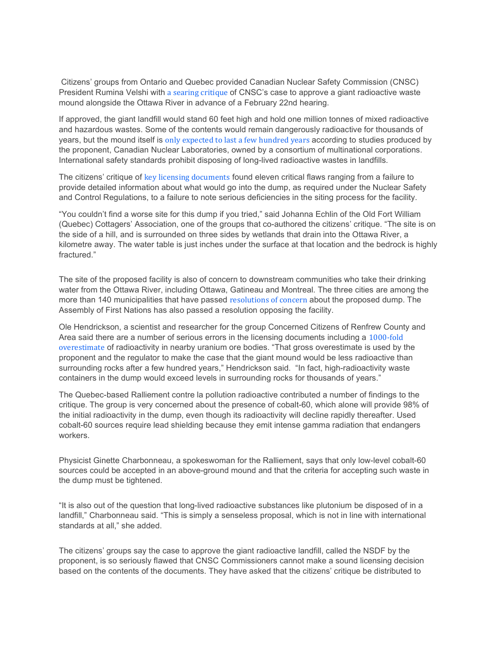Citizens' groups from Ontario and Quebec provided Canadian Nuclear Safety Commission (CNSC) President Rumina Velshi with a searing critique of CNSC's case to approve a giant radioactive waste mound alongside the Ottawa River in advance of a February 22nd hearing.

If approved, the giant landfill would stand 60 feet high and hold one million tonnes of mixed radioactive and hazardous wastes. Some of the contents would remain dangerously radioactive for thousands of years, but the mound itself is only expected to last a few hundred years according to studies produced by the proponent, Canadian Nuclear Laboratories, owned by a consortium of multinational corporations. International safety standards prohibit disposing of long-lived radioactive wastes in landfills.

The citizens' critique of key licensing documents found eleven critical flaws ranging from a failure to provide detailed information about what would go into the dump, as required under the Nuclear Safety and Control Regulations, to a failure to note serious deficiencies in the siting process for the facility.

"You couldn't find a worse site for this dump if you tried," said Johanna Echlin of the Old Fort William (Quebec) Cottagers' Association, one of the groups that co-authored the citizens' critique. "The site is on the side of a hill, and is surrounded on three sides by wetlands that drain into the Ottawa River, a kilometre away. The water table is just inches under the surface at that location and the bedrock is highly fractured."

The site of the proposed facility is also of concern to downstream communities who take their drinking water from the Ottawa River, including Ottawa, Gatineau and Montreal. The three cities are among the more than 140 municipalities that have passed resolutions of concern about the proposed dump. The Assembly of First Nations has also passed a resolution opposing the facility.

Ole Hendrickson, a scientist and researcher for the group Concerned Citizens of Renfrew County and Area said there are a number of serious errors in the licensing documents including a 1000-fold overestimate of radioactivity in nearby uranium ore bodies. "That gross overestimate is used by the proponent and the regulator to make the case that the giant mound would be less radioactive than surrounding rocks after a few hundred years," Hendrickson said. "In fact, high-radioactivity waste containers in the dump would exceed levels in surrounding rocks for thousands of years."

The Quebec-based Ralliement contre la pollution radioactive contributed a number of findings to the critique. The group is very concerned about the presence of cobalt-60, which alone will provide 98% of the initial radioactivity in the dump, even though its radioactivity will decline rapidly thereafter. Used cobalt-60 sources require lead shielding because they emit intense gamma radiation that endangers workers.

Physicist Ginette Charbonneau, a spokeswoman for the Ralliement, says that only low-level cobalt-60 sources could be accepted in an above-ground mound and that the criteria for accepting such waste in the dump must be tightened.

"It is also out of the question that long-lived radioactive substances like plutonium be disposed of in a landfill," Charbonneau said. "This is simply a senseless proposal, which is not in line with international standards at all," she added.

The citizens' groups say the case to approve the giant radioactive landfill, called the NSDF by the proponent, is so seriously flawed that CNSC Commissioners cannot make a sound licensing decision based on the contents of the documents. They have asked that the citizens' critique be distributed to